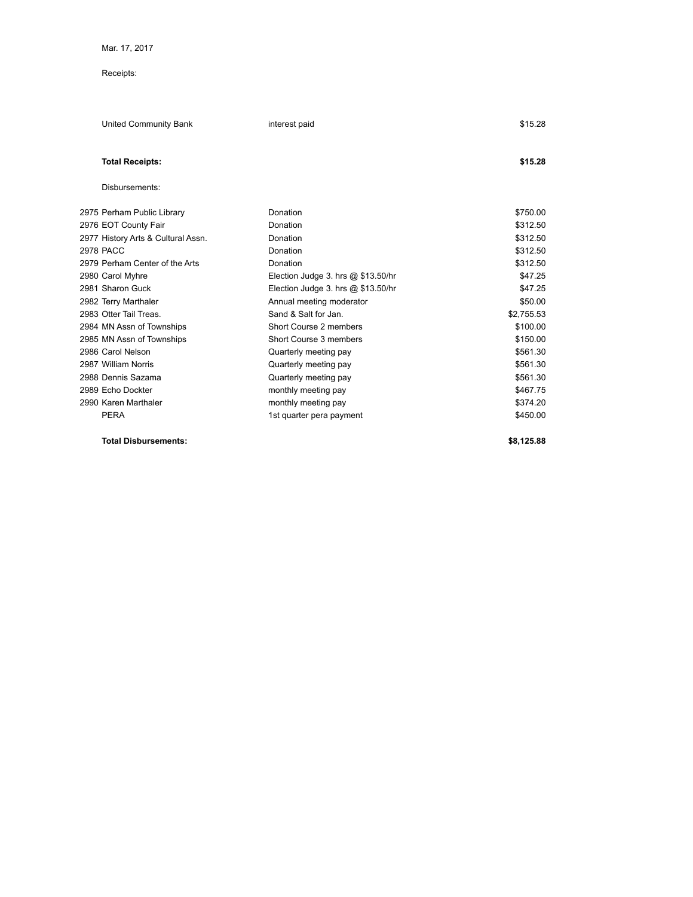## Receipts:

| United Community Bank              | interest paid                        | \$15.28    |
|------------------------------------|--------------------------------------|------------|
| <b>Total Receipts:</b>             |                                      | \$15.28    |
| Disbursements:                     |                                      |            |
| 2975 Perham Public Library         | Donation                             | \$750.00   |
| 2976 EOT County Fair               | Donation                             | \$312.50   |
| 2977 History Arts & Cultural Assn. | Donation                             | \$312.50   |
| 2978 PACC                          | Donation                             | \$312.50   |
| 2979 Perham Center of the Arts     | Donation                             | \$312.50   |
| 2980 Carol Myhre                   | Election Judge 3. hrs $@$ \$13.50/hr | \$47.25    |
| 2981 Sharon Guck                   | Election Judge 3. hrs $@$ \$13.50/hr | \$47.25    |
| 2982 Terry Marthaler               | Annual meeting moderator             | \$50.00    |
| 2983 Otter Tail Treas.             | Sand & Salt for Jan.                 | \$2.755.53 |
| 2984 MN Assn of Townships          | Short Course 2 members               | \$100.00   |
| 2985 MN Assn of Townships          | Short Course 3 members               | \$150.00   |
| 2986 Carol Nelson                  | Quarterly meeting pay                | \$561.30   |
| 2987 William Norris                | Quarterly meeting pay                | \$561.30   |
| 2988 Dennis Sazama                 | Quarterly meeting pay                | \$561.30   |
| 2989 Echo Dockter                  | monthly meeting pay                  | \$467.75   |
| 2990 Karen Marthaler               | monthly meeting pay                  | \$374.20   |
| <b>PERA</b>                        | 1st quarter pera payment             | \$450.00   |

**Total Disbursements: \$8,125.88**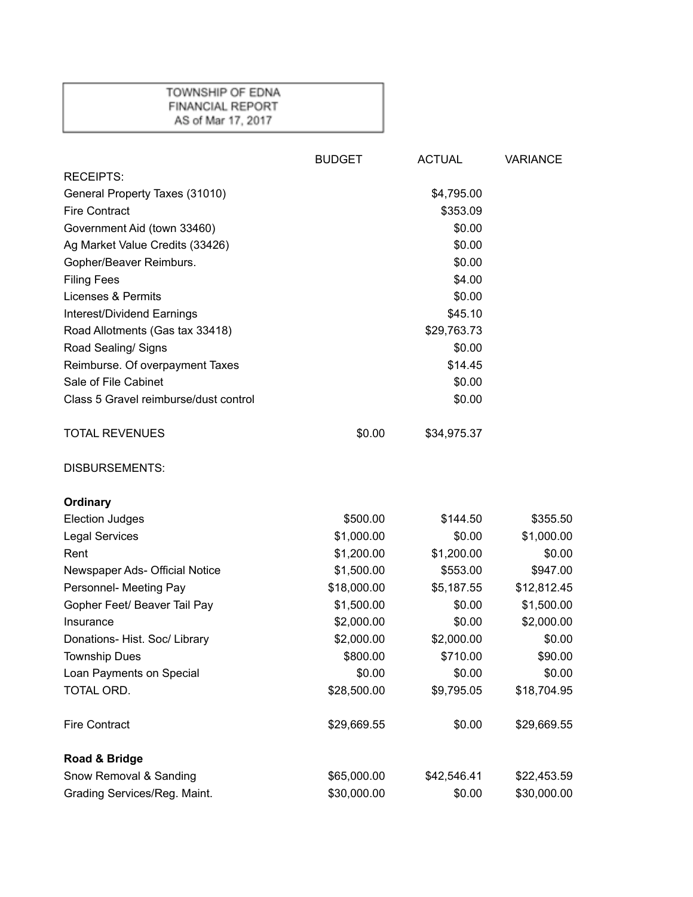## TOWNSHIP OF EDNA FINANCIAL REPORT AS of Mar 17, 2017

|                                       | <b>BUDGET</b> | <b>ACTUAL</b> | <b>VARIANCE</b> |
|---------------------------------------|---------------|---------------|-----------------|
| <b>RECEIPTS:</b>                      |               |               |                 |
| General Property Taxes (31010)        |               | \$4,795.00    |                 |
| <b>Fire Contract</b>                  |               | \$353.09      |                 |
| Government Aid (town 33460)           |               | \$0.00        |                 |
| Ag Market Value Credits (33426)       |               | \$0.00        |                 |
| Gopher/Beaver Reimburs.               |               | \$0.00        |                 |
| <b>Filing Fees</b>                    |               | \$4.00        |                 |
| <b>Licenses &amp; Permits</b>         |               | \$0.00        |                 |
| Interest/Dividend Earnings            |               | \$45.10       |                 |
| Road Allotments (Gas tax 33418)       |               | \$29,763.73   |                 |
| Road Sealing/ Signs                   |               | \$0.00        |                 |
| Reimburse. Of overpayment Taxes       |               | \$14.45       |                 |
| Sale of File Cabinet                  |               | \$0.00        |                 |
| Class 5 Gravel reimburse/dust control |               | \$0.00        |                 |
| <b>TOTAL REVENUES</b>                 | \$0.00        | \$34,975.37   |                 |
| <b>DISBURSEMENTS:</b>                 |               |               |                 |
| Ordinary                              |               |               |                 |
| <b>Election Judges</b>                | \$500.00      | \$144.50      | \$355.50        |
| <b>Legal Services</b>                 | \$1,000.00    | \$0.00        | \$1,000.00      |
| Rent                                  | \$1,200.00    | \$1,200.00    | \$0.00          |
| Newspaper Ads- Official Notice        | \$1,500.00    | \$553.00      | \$947.00        |
| Personnel- Meeting Pay                | \$18,000.00   | \$5,187.55    | \$12,812.45     |
| Gopher Feet/ Beaver Tail Pay          | \$1,500.00    | \$0.00        | \$1,500.00      |
| Insurance                             | \$2,000.00    | \$0.00        | \$2,000.00      |
| Donations- Hist. Soc/ Library         | \$2,000.00    | \$2,000.00    | \$0.00          |
| <b>Township Dues</b>                  | \$800.00      | \$710.00      | \$90.00         |
| Loan Payments on Special              | \$0.00        | \$0.00        | \$0.00          |
| TOTAL ORD.                            | \$28,500.00   | \$9,795.05    | \$18,704.95     |
| <b>Fire Contract</b>                  | \$29,669.55   | \$0.00        | \$29,669.55     |
| Road & Bridge                         |               |               |                 |
| Snow Removal & Sanding                | \$65,000.00   | \$42,546.41   | \$22,453.59     |
| Grading Services/Reg. Maint.          | \$30,000.00   | \$0.00        | \$30,000.00     |